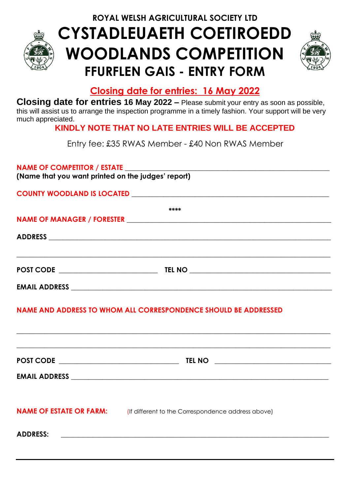**ROYAL WELSH AGRICULTURAL SOCIETY LTD**



# **CYSTADLEUAETH COETIROEDD WOODLANDS COMPETITION FFURFLEN GAIS - ENTRY FORM**



# **Closing date for entries: 16 May 2022**

**Closing date for entries 16 May 2022 –** Please submit your entry as soon as possible, this will assist us to arrange the inspection programme in a timely fashion. Your support will be very much appreciated.

# **KINDLY NOTE THAT NO LATE ENTRIES WILL BE ACCEPTED**

Entry fee: £35 RWAS Member - £40 Non RWAS Member

#### **NAME OF COMPETITOR / ESTATE \_\_\_\_\_\_\_\_\_\_\_\_\_\_\_\_\_\_\_\_\_\_\_\_\_\_\_\_\_\_\_\_\_\_\_\_\_\_\_\_\_\_\_\_\_\_\_\_\_\_\_\_\_\_\_\_\_\_**

**(Name that you want printed on the judges' report)**

**COUNTY WOODLAND IS LOCATED \_\_\_\_\_\_\_\_\_\_\_\_\_\_\_\_\_\_\_\_\_\_\_\_\_\_\_\_\_\_\_\_\_\_\_\_\_\_\_\_\_\_\_\_\_\_\_\_\_\_\_\_\_\_\_\_**

| ****                          |        |  |  |  |
|-------------------------------|--------|--|--|--|
|                               |        |  |  |  |
|                               |        |  |  |  |
|                               |        |  |  |  |
| <b>POST CODE EXAMPLE 2004</b> | TEL NO |  |  |  |
| <b>EMAIL ADDRESS</b>          |        |  |  |  |

## **NAME AND ADDRESS TO WHOM ALL CORRESPONDENCE SHOULD BE ADDRESSED**

|                                | <b>TEL NO</b><br><u> 1989 - Johann Harry Barn, mars ar breist fan de Fryske kommunent fan de ferstjerke fan de ferstjerke fan de f</u> |
|--------------------------------|----------------------------------------------------------------------------------------------------------------------------------------|
|                                |                                                                                                                                        |
| <b>NAME OF ESTATE OR FARM:</b> | (If different to the Correspondence address above)                                                                                     |
| <b>ADDRESS:</b>                |                                                                                                                                        |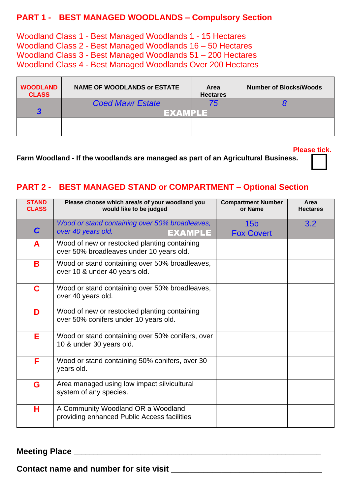### **PART 1 - BEST MANAGED WOODLANDS – Compulsory Section**

Woodland Class 1 - Best Managed Woodlands 1 - 15 Hectares Woodland Class 2 - Best Managed Woodlands 16 – 50 Hectares Woodland Class 3 - Best Managed Woodlands 51 – 200 Hectares Woodland Class 4 - Best Managed Woodlands Over 200 Hectares

| <b>WOODLAND</b><br><b>CLASS</b> | <b>NAME OF WOODLANDS or ESTATE</b> | <b>Area</b><br><b>Hectares</b> | <b>Number of Blocks/Woods</b> |
|---------------------------------|------------------------------------|--------------------------------|-------------------------------|
|                                 | <b>Coed Mawr Estate</b>            | 75                             |                               |
|                                 |                                    |                                |                               |
|                                 |                                    |                                |                               |
|                                 |                                    |                                |                               |

 **Please tick.**

**Farm Woodland - If the woodlands are managed as part of an Agricultural Business.**

## **PART 2 - BEST MANAGED STAND or COMPARTMENT – Optional Section**

| <b>STAND</b><br><b>CLASS</b> | Please choose which area/s of your woodland you<br>would like to be judged               | <b>Compartment Number</b><br>or Name | Area<br><b>Hectares</b> |
|------------------------------|------------------------------------------------------------------------------------------|--------------------------------------|-------------------------|
| $\mathbf C$                  | Wood or stand containing over 50% broadleaves,<br>over 40 years old.<br>EXAMPLE          | 15 <sub>b</sub><br><b>Fox Covert</b> | 3.2                     |
| A                            | Wood of new or restocked planting containing<br>over 50% broadleaves under 10 years old. |                                      |                         |
| B                            | Wood or stand containing over 50% broadleaves,<br>over 10 & under 40 years old.          |                                      |                         |
| C                            | Wood or stand containing over 50% broadleaves,<br>over 40 years old.                     |                                      |                         |
| D                            | Wood of new or restocked planting containing<br>over 50% conifers under 10 years old.    |                                      |                         |
| Е                            | Wood or stand containing over 50% conifers, over<br>10 & under 30 years old.             |                                      |                         |
| F                            | Wood or stand containing 50% conifers, over 30<br>years old.                             |                                      |                         |
| G                            | Area managed using low impact silvicultural<br>system of any species.                    |                                      |                         |
| н                            | A Community Woodland OR a Woodland<br>providing enhanced Public Access facilities        |                                      |                         |

### **Meeting Place \_\_\_\_\_\_\_\_\_\_\_\_\_\_\_\_\_\_\_\_\_\_\_\_\_\_\_\_\_\_\_\_\_\_\_\_\_\_\_\_\_\_\_\_\_\_\_\_\_\_\_\_\_\_\_\_\_\_\_\_\_\_\_**

**Contact name and number for site visit \_\_\_\_\_\_\_\_\_\_\_\_\_\_\_\_\_\_\_\_\_\_\_\_\_\_\_\_\_\_\_\_\_**